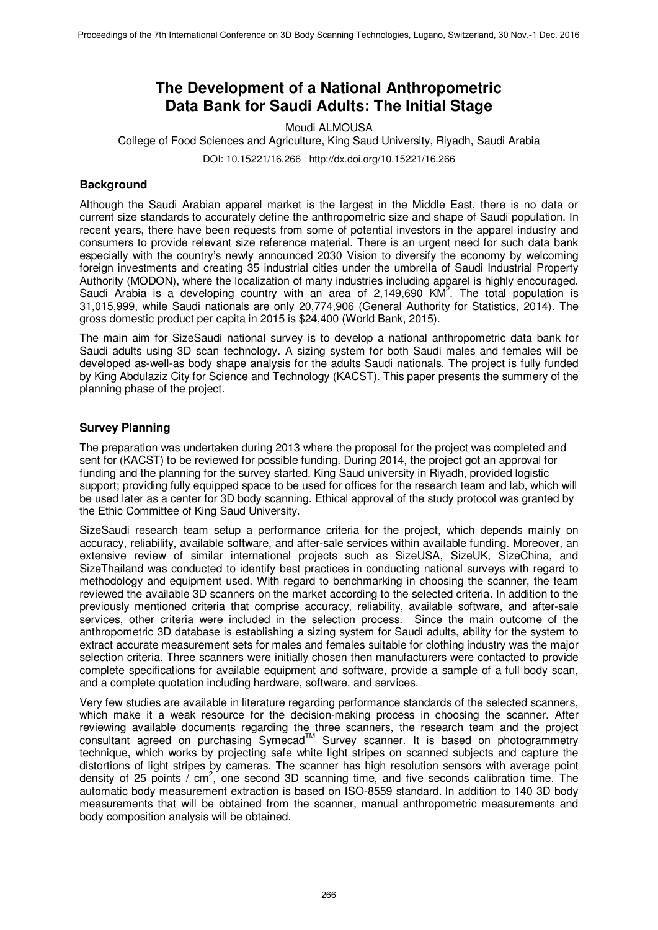# **The Development of a National Anthropometric Data Bank for Saudi Adults: The Initial Stage**

Moudi ALMOUSA College of Food Sciences and Agriculture, King Saud University, Riyadh, Saudi Arabia

DOI: 10.15221/16.266 http://dx.doi.org/10.15221/16.266

# **Background**

Although the Saudi Arabian apparel market is the largest in the Middle East, there is no data or current size standards to accurately define the anthropometric size and shape of Saudi population. In recent years, there have been requests from some of potential investors in the apparel industry and consumers to provide relevant size reference material. There is an urgent need for such data bank especially with the country's newly announced 2030 Vision to diversify the economy by welcoming foreign investments and creating 35 industrial cities under the umbrella of Saudi Industrial Property Authority (MODON), where the localization of many industries including apparel is highly encouraged. Saudi Arabia is a developing country with an area of  $2,149,690$  KM<sup>2</sup>. The total population is 31,015,999, while Saudi nationals are only 20,774,906 (General Authority for Statistics, 2014). The gross domestic product per capita in 2015 is \$24,400 (World Bank, 2015).

The main aim for SizeSaudi national survey is to develop a national anthropometric data bank for Saudi adults using 3D scan technology. A sizing system for both Saudi males and females will be developed as-well-as body shape analysis for the adults Saudi nationals. The project is fully funded by King Abdulaziz City for Science and Technology (KACST). This paper presents the summery of the planning phase of the project.

# **Survey Planning**

The preparation was undertaken during 2013 where the proposal for the project was completed and sent for (KACST) to be reviewed for possible funding. During 2014, the project got an approval for funding and the planning for the survey started. King Saud university in Riyadh, provided logistic support; providing fully equipped space to be used for offices for the research team and lab, which will be used later as a center for 3D body scanning. Ethical approval of the study protocol was granted by the Ethic Committee of King Saud University.

SizeSaudi research team setup a performance criteria for the project, which depends mainly on accuracy, reliability, available software, and after-sale services within available funding. Moreover, an extensive review of similar international projects such as SizeUSA, SizeUK, SizeChina, and SizeThailand was conducted to identify best practices in conducting national surveys with regard to methodology and equipment used. With regard to benchmarking in choosing the scanner, the team reviewed the available 3D scanners on the market according to the selected criteria. In addition to the previously mentioned criteria that comprise accuracy, reliability, available software, and after-sale services, other criteria were included in the selection process. Since the main outcome of the anthropometric 3D database is establishing a sizing system for Saudi adults, ability for the system to extract accurate measurement sets for males and females suitable for clothing industry was the major selection criteria. Three scanners were initially chosen then manufacturers were contacted to provide complete specifications for available equipment and software, provide a sample of a full body scan, and a complete quotation including hardware, software, and services.

Very few studies are available in literature regarding performance standards of the selected scanners, which make it a weak resource for the decision-making process in choosing the scanner. After reviewing available documents regarding the three scanners, the research team and the project consultant agreed on purchasing Symecad<sup>™</sup> Survey scanner. It is based on photogrammetry technique, which works by projecting safe white light stripes on scanned subjects and capture the distortions of light stripes by cameras. The scanner has high resolution sensors with average point density of 25 points /  $cm<sup>2</sup>$ , one second 3D scanning time, and five seconds calibration time. The automatic body measurement extraction is based on ISO-8559 standard. In addition to 140 3D body measurements that will be obtained from the scanner, manual anthropometric measurements and body composition analysis will be obtained.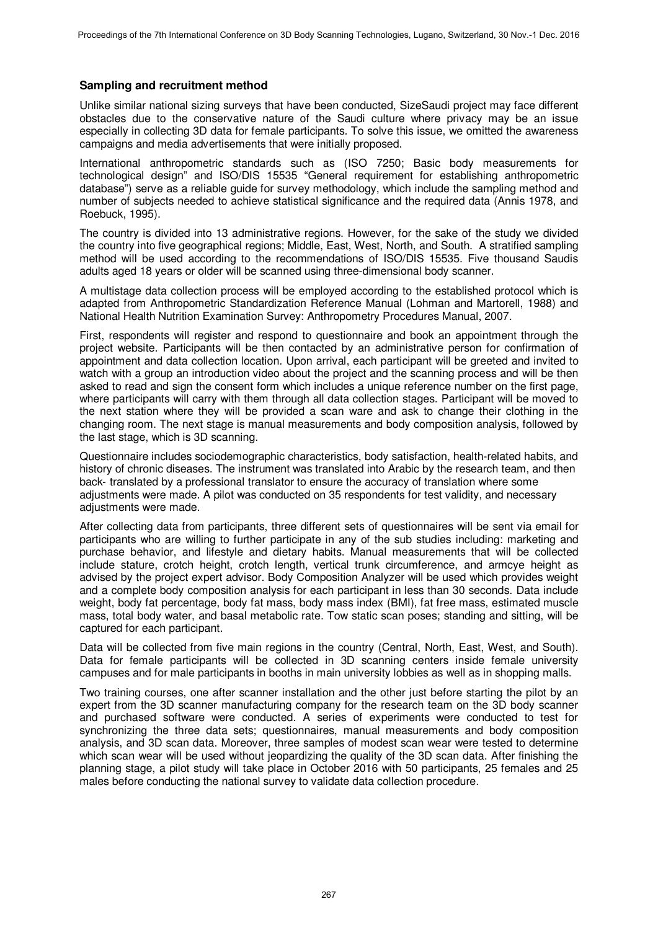### **Sampling and recruitment method**

Unlike similar national sizing surveys that have been conducted, SizeSaudi project may face different obstacles due to the conservative nature of the Saudi culture where privacy may be an issue especially in collecting 3D data for female participants. To solve this issue, we omitted the awareness campaigns and media advertisements that were initially proposed.

International anthropometric standards such as (ISO 7250; Basic body measurements for technological design" and ISO/DIS 15535 "General requirement for establishing anthropometric database") serve as a reliable guide for survey methodology, which include the sampling method and number of subjects needed to achieve statistical significance and the required data (Annis 1978, and Roebuck, 1995).

The country is divided into 13 administrative regions. However, for the sake of the study we divided the country into five geographical regions; Middle, East, West, North, and South. A stratified sampling method will be used according to the recommendations of ISO/DIS 15535. Five thousand Saudis adults aged 18 years or older will be scanned using three-dimensional body scanner.

A multistage data collection process will be employed according to the established protocol which is adapted from Anthropometric Standardization Reference Manual (Lohman and Martorell, 1988) and National Health Nutrition Examination Survey: Anthropometry Procedures Manual, 2007.

First, respondents will register and respond to questionnaire and book an appointment through the project website. Participants will be then contacted by an administrative person for confirmation of appointment and data collection location. Upon arrival, each participant will be greeted and invited to watch with a group an introduction video about the project and the scanning process and will be then asked to read and sign the consent form which includes a unique reference number on the first page, where participants will carry with them through all data collection stages. Participant will be moved to the next station where they will be provided a scan ware and ask to change their clothing in the changing room. The next stage is manual measurements and body composition analysis, followed by the last stage, which is 3D scanning.

Questionnaire includes sociodemographic characteristics, body satisfaction, health-related habits, and history of chronic diseases. The instrument was translated into Arabic by the research team, and then back-translated by a professional translator to ensure the accuracy of translation where some adjustments were made. A pilot was conducted on 35 respondents for test validity, and necessary adjustments were made.

After collecting data from participants, three different sets of questionnaires will be sent via email for participants who are willing to further participate in any of the sub studies including: marketing and purchase behavior, and lifestyle and dietary habits. Manual measurements that will be collected include stature, crotch height, crotch length, vertical trunk circumference, and armcye height as advised by the project expert advisor. Body Composition Analyzer will be used which provides weight and a complete body composition analysis for each participant in less than 30 seconds. Data include weight, body fat percentage, body fat mass, body mass index (BMI), fat free mass, estimated muscle mass, total body water, and basal metabolic rate. Tow static scan poses; standing and sitting, will be captured for each participant.

Data will be collected from five main regions in the country (Central, North, East, West, and South). Data for female participants will be collected in 3D scanning centers inside female university campuses and for male participants in booths in main university lobbies as well as in shopping malls.

Two training courses, one after scanner installation and the other just before starting the pilot by an expert from the 3D scanner manufacturing company for the research team on the 3D body scanner and purchased software were conducted. A series of experiments were conducted to test for synchronizing the three data sets; questionnaires, manual measurements and body composition analysis, and 3D scan data. Moreover, three samples of modest scan wear were tested to determine which scan wear will be used without jeopardizing the quality of the 3D scan data. After finishing the planning stage, a pilot study will take place in October 2016 with 50 participants, 25 females and 25 males before conducting the national survey to validate data collection procedure.